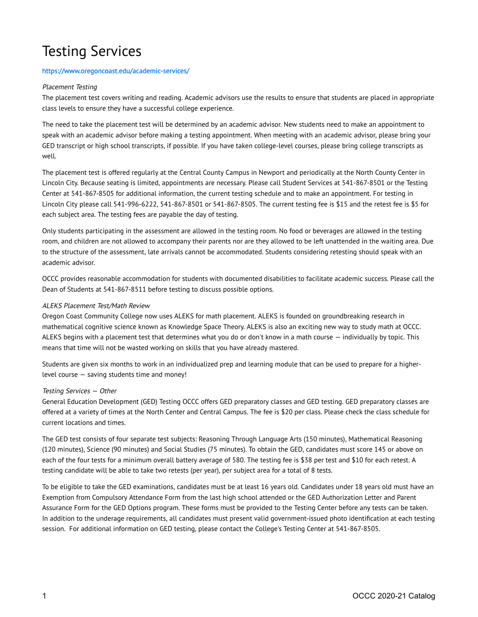# Testing Services

### [https://www.oregoncoast.edu/academic](https://www.oregoncoast.edu/academic-services/)-services/

### Placement Testing

The placement test covers writing and reading. Academic advisors use the results to ensure that students are placed in appropriate class levels to ensure they have a successful college experience.

The need to take the placement test will be determined by an academic advisor. New students need to make an appointment to speak with an academic advisor before making a testing appointment. When meeting with an academic advisor, please bring your GED transcript or high school transcripts, if possible. If you have taken college-level courses, please bring college transcripts as well.

The placement test is offered regularly at the Central County Campus in Newport and periodically at the North County Center in Lincoln City. Because seating is limited, appointments are necessary. Please call Student Services at 541-867-8501 or the Testing Center at 541-867-8505 for additional information, the current testing schedule and to make an appointment. For testing in Lincoln City please call 541-996-6222, 541-867-8501 or 541-867-8505. The current testing fee is \$15 and the retest fee is \$5 for each subject area. The testing fees are payable the day of testing.

Only students participating in the assessment are allowed in the testing room. No food or beverages are allowed in the testing room, and children are not allowed to accompany their parents nor are they allowed to be left unattended in the waiting area. Due to the structure of the assessment, late arrivals cannot be accommodated. Students considering retesting should speak with an academic advisor.

OCCC provides reasonable accommodation for students with documented disabilities to facilitate academic success. Please call the Dean of Students at 541-867-8511 before testing to discuss possible options.

### ALEKS Placement Test/Math Review

Oregon Coast Community College now uses ALEKS for math placement. ALEKS is founded on groundbreaking research in mathematical cognitive science known as Knowledge Space Theory. ALEKS is also an exciting new way to study math at OCCC. ALEKS begins with a placement test that determines what you do or don't know in a math course — individually by topic. This means that time will not be wasted working on skills that you have already mastered.

Students are given six months to work in an individualized prep and learning module that can be used to prepare for a higherlevel course — saving students time and money!

#### Testing Services — Other

General Education Development (GED) Testing OCCC offers GED preparatory classes and GED testing. GED preparatory classes are offered at a variety of times at the North Center and Central Campus. The fee is \$20 per class. Please check the class schedule for current locations and times.

The GED test consists of four separate test subjects: Reasoning Through Language Arts (150 minutes), Mathematical Reasoning (120 minutes), Science (90 minutes) and Social Studies (75 minutes). To obtain the GED, candidates must score 145 or above on each of the four tests for a minimum overall battery average of 580. The testing fee is \$38 per test and \$10 for each retest. A testing candidate will be able to take two retests (per year), per subject area for a total of 8 tests.

To be eligible to take the GED examinations, candidates must be at least 16 years old. Candidates under 18 years old must have an Exemption from Compulsory Attendance Form from the last high school attended or the GED Authorization Letter and Parent Assurance Form for the GED Options program. These forms must be provided to the Testing Center before any tests can be taken. In addition to the underage requirements, all candidates must present valid government-issued photo identification at each testing session. For additional information on GED testing, please contact the College's Testing Center at 541-867-8505.